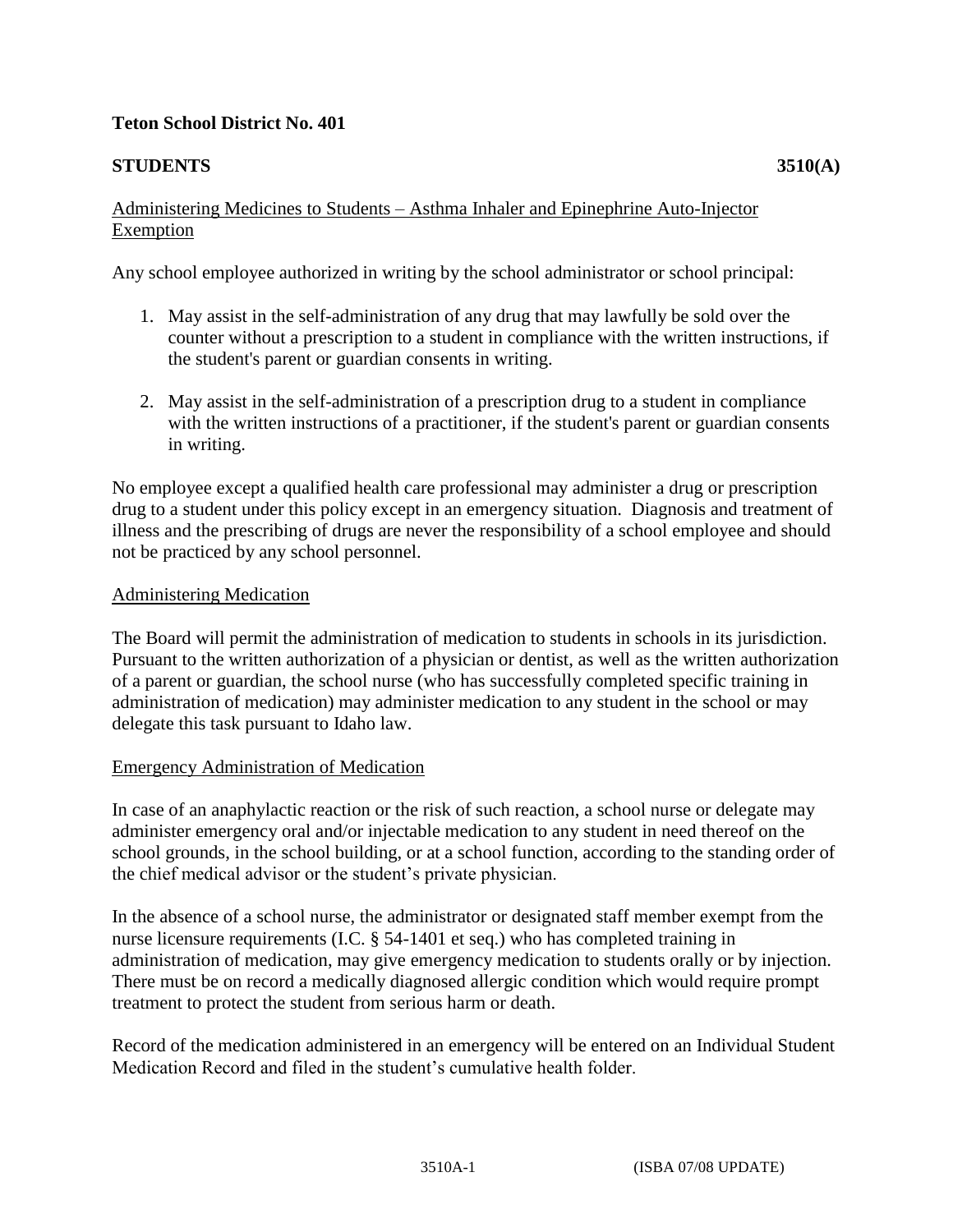# **Teton School District No. 401**

# **STUDENTS** 3510(A)

#### Administering Medicines to Students – Asthma Inhaler and Epinephrine Auto-Injector Exemption

Any school employee authorized in writing by the school administrator or school principal:

- 1. May assist in the self-administration of any drug that may lawfully be sold over the counter without a prescription to a student in compliance with the written instructions, if the student's parent or guardian consents in writing.
- 2. May assist in the self-administration of a prescription drug to a student in compliance with the written instructions of a practitioner, if the student's parent or guardian consents in writing.

No employee except a qualified health care professional may administer a drug or prescription drug to a student under this policy except in an emergency situation. Diagnosis and treatment of illness and the prescribing of drugs are never the responsibility of a school employee and should not be practiced by any school personnel.

## Administering Medication

The Board will permit the administration of medication to students in schools in its jurisdiction. Pursuant to the written authorization of a physician or dentist, as well as the written authorization of a parent or guardian, the school nurse (who has successfully completed specific training in administration of medication) may administer medication to any student in the school or may delegate this task pursuant to Idaho law.

## Emergency Administration of Medication

In case of an anaphylactic reaction or the risk of such reaction, a school nurse or delegate may administer emergency oral and/or injectable medication to any student in need thereof on the school grounds, in the school building, or at a school function, according to the standing order of the chief medical advisor or the student's private physician.

In the absence of a school nurse, the administrator or designated staff member exempt from the nurse licensure requirements (I.C. § 54-1401 et seq.) who has completed training in administration of medication, may give emergency medication to students orally or by injection. There must be on record a medically diagnosed allergic condition which would require prompt treatment to protect the student from serious harm or death.

Record of the medication administered in an emergency will be entered on an Individual Student Medication Record and filed in the student's cumulative health folder.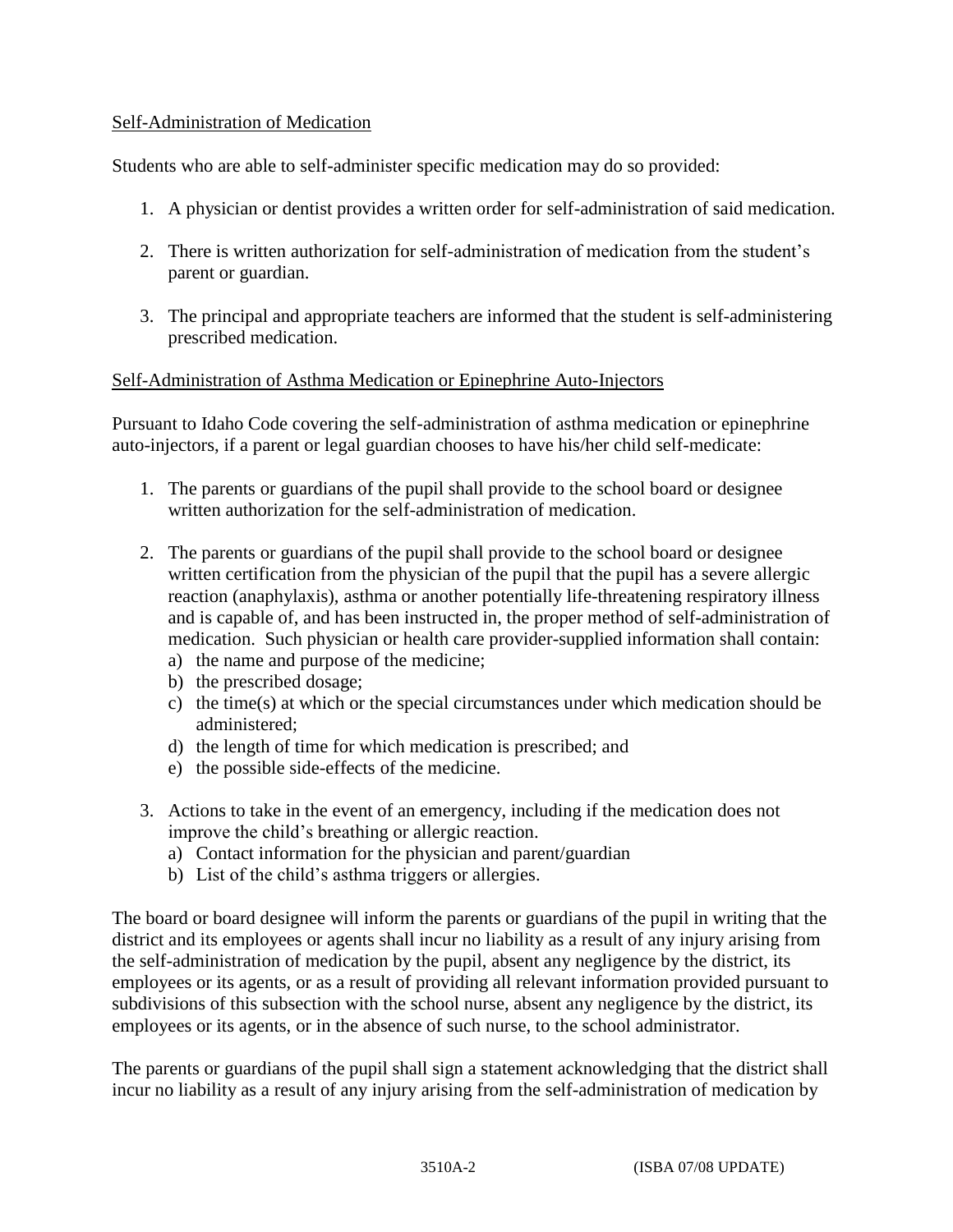#### Self-Administration of Medication

Students who are able to self-administer specific medication may do so provided:

- 1. A physician or dentist provides a written order for self-administration of said medication.
- 2. There is written authorization for self-administration of medication from the student's parent or guardian.
- 3. The principal and appropriate teachers are informed that the student is self-administering prescribed medication.

## Self-Administration of Asthma Medication or Epinephrine Auto-Injectors

Pursuant to Idaho Code covering the self-administration of asthma medication or epinephrine auto-injectors, if a parent or legal guardian chooses to have his/her child self-medicate:

- 1. The parents or guardians of the pupil shall provide to the school board or designee written authorization for the self-administration of medication.
- 2. The parents or guardians of the pupil shall provide to the school board or designee written certification from the physician of the pupil that the pupil has a severe allergic reaction (anaphylaxis), asthma or another potentially life-threatening respiratory illness and is capable of, and has been instructed in, the proper method of self-administration of medication. Such physician or health care provider-supplied information shall contain: a) the name and purpose of the medicine;
	- b) the prescribed dosage;
	- c) the time(s) at which or the special circumstances under which medication should be administered;
	- d) the length of time for which medication is prescribed; and
	- e) the possible side-effects of the medicine.
- 3. Actions to take in the event of an emergency, including if the medication does not improve the child's breathing or allergic reaction.
	- a) Contact information for the physician and parent/guardian
	- b) List of the child's asthma triggers or allergies.

The board or board designee will inform the parents or guardians of the pupil in writing that the district and its employees or agents shall incur no liability as a result of any injury arising from the self-administration of medication by the pupil, absent any negligence by the district, its employees or its agents, or as a result of providing all relevant information provided pursuant to subdivisions of this subsection with the school nurse, absent any negligence by the district, its employees or its agents, or in the absence of such nurse, to the school administrator.

The parents or guardians of the pupil shall sign a statement acknowledging that the district shall incur no liability as a result of any injury arising from the self-administration of medication by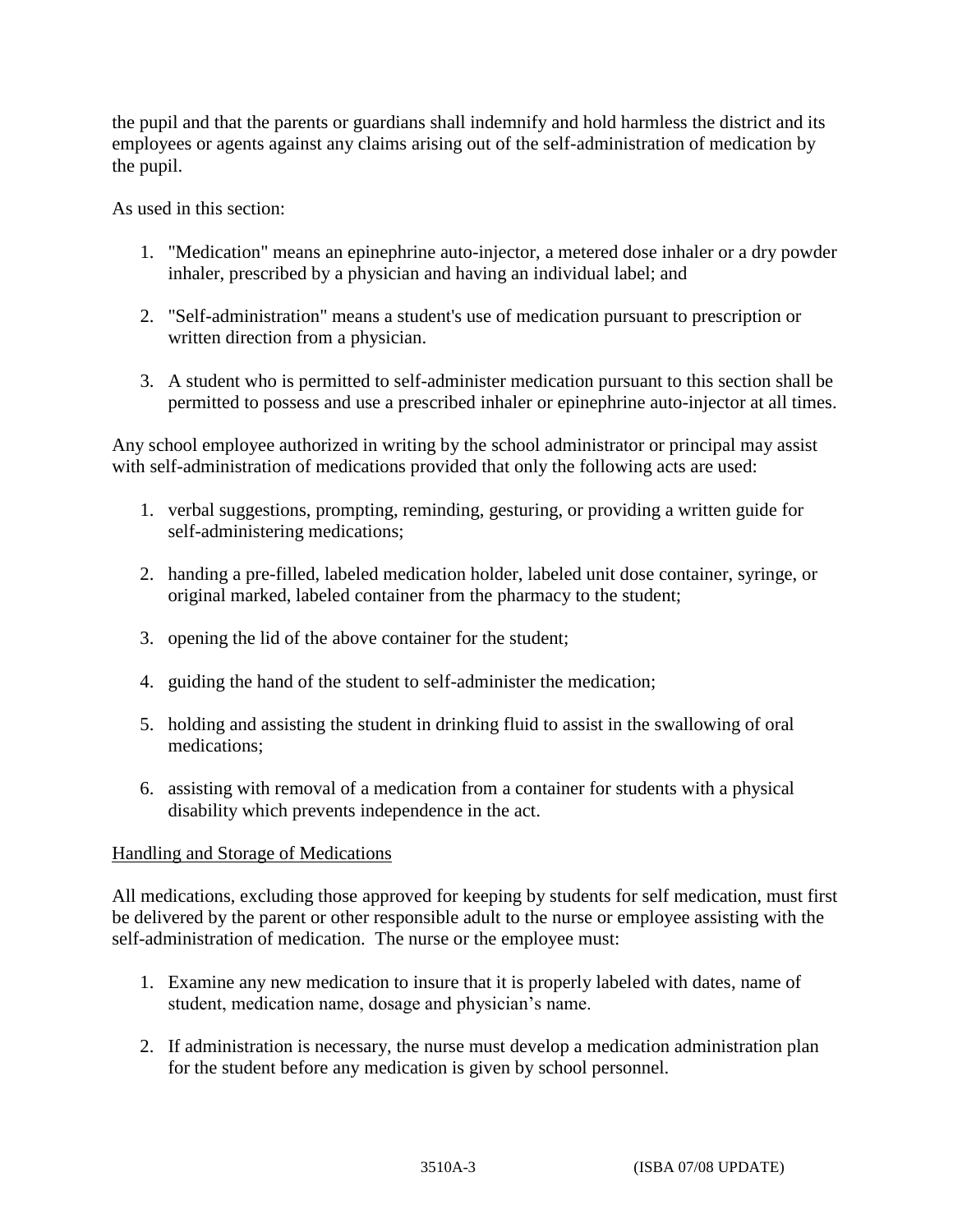the pupil and that the parents or guardians shall indemnify and hold harmless the district and its employees or agents against any claims arising out of the self-administration of medication by the pupil.

As used in this section:

- 1. "Medication" means an epinephrine auto-injector, a metered dose inhaler or a dry powder inhaler, prescribed by a physician and having an individual label; and
- 2. "Self-administration" means a student's use of medication pursuant to prescription or written direction from a physician.
- 3. A student who is permitted to self-administer medication pursuant to this section shall be permitted to possess and use a prescribed inhaler or epinephrine auto-injector at all times.

Any school employee authorized in writing by the school administrator or principal may assist with self-administration of medications provided that only the following acts are used:

- 1. verbal suggestions, prompting, reminding, gesturing, or providing a written guide for self-administering medications;
- 2. handing a pre-filled, labeled medication holder, labeled unit dose container, syringe, or original marked, labeled container from the pharmacy to the student;
- 3. opening the lid of the above container for the student;
- 4. guiding the hand of the student to self-administer the medication;
- 5. holding and assisting the student in drinking fluid to assist in the swallowing of oral medications;
- 6. assisting with removal of a medication from a container for students with a physical disability which prevents independence in the act.

#### Handling and Storage of Medications

All medications, excluding those approved for keeping by students for self medication, must first be delivered by the parent or other responsible adult to the nurse or employee assisting with the self-administration of medication. The nurse or the employee must:

- 1. Examine any new medication to insure that it is properly labeled with dates, name of student, medication name, dosage and physician's name.
- 2. If administration is necessary, the nurse must develop a medication administration plan for the student before any medication is given by school personnel.